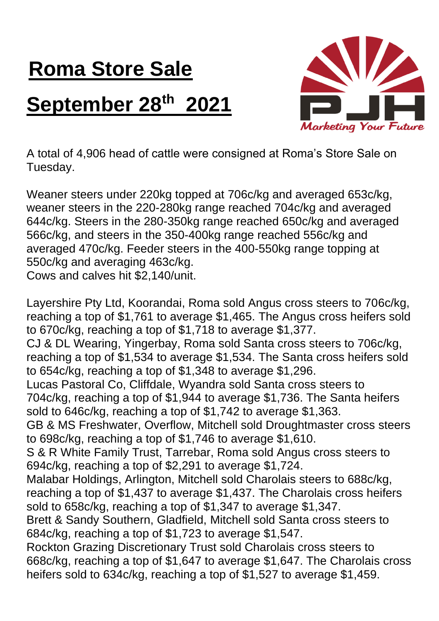## **Roma Store Sale September 28th 2021**



A total of 4,906 head of cattle were consigned at Roma's Store Sale on Tuesday.

Weaner steers under 220kg topped at 706c/kg and averaged 653c/kg, weaner steers in the 220-280kg range reached 704c/kg and averaged 644c/kg. Steers in the 280-350kg range reached 650c/kg and averaged 566c/kg, and steers in the 350-400kg range reached 556c/kg and averaged 470c/kg. Feeder steers in the 400-550kg range topping at 550c/kg and averaging 463c/kg.

Cows and calves hit \$2,140/unit.

Layershire Pty Ltd, Koorandai, Roma sold Angus cross steers to 706c/kg, reaching a top of \$1,761 to average \$1,465. The Angus cross heifers sold to 670c/kg, reaching a top of \$1,718 to average \$1,377. CJ & DL Wearing, Yingerbay, Roma sold Santa cross steers to 706c/kg, reaching a top of \$1,534 to average \$1,534. The Santa cross heifers sold to 654c/kg, reaching a top of \$1,348 to average \$1,296. Lucas Pastoral Co, Cliffdale, Wyandra sold Santa cross steers to 704c/kg, reaching a top of \$1,944 to average \$1,736. The Santa heifers sold to 646c/kg, reaching a top of \$1,742 to average \$1,363. GB & MS Freshwater, Overflow, Mitchell sold Droughtmaster cross steers to 698c/kg, reaching a top of \$1,746 to average \$1,610. S & R White Family Trust, Tarrebar, Roma sold Angus cross steers to 694c/kg, reaching a top of \$2,291 to average \$1,724. Malabar Holdings, Arlington, Mitchell sold Charolais steers to 688c/kg, reaching a top of \$1,437 to average \$1,437. The Charolais cross heifers sold to 658c/kg, reaching a top of \$1,347 to average \$1,347. Brett & Sandy Southern, Gladfield, Mitchell sold Santa cross steers to 684c/kg, reaching a top of \$1,723 to average \$1,547. Rockton Grazing Discretionary Trust sold Charolais cross steers to 668c/kg, reaching a top of \$1,647 to average \$1,647. The Charolais cross heifers sold to 634c/kg, reaching a top of \$1,527 to average \$1,459.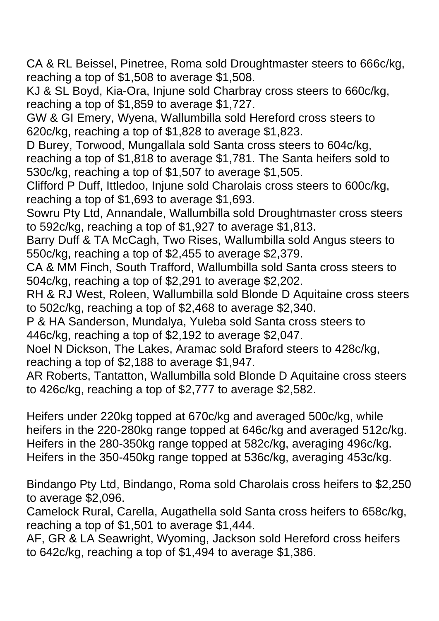CA & RL Beissel, Pinetree, Roma sold Droughtmaster steers to 666c/kg, reaching a top of \$1,508 to average \$1,508.

KJ & SL Boyd, Kia-Ora, Injune sold Charbray cross steers to 660c/kg, reaching a top of \$1,859 to average \$1,727.

GW & GI Emery, Wyena, Wallumbilla sold Hereford cross steers to 620c/kg, reaching a top of \$1,828 to average \$1,823.

D Burey, Torwood, Mungallala sold Santa cross steers to 604c/kg, reaching a top of \$1,818 to average \$1,781. The Santa heifers sold to 530c/kg, reaching a top of \$1,507 to average \$1,505.

Clifford P Duff, Ittledoo, Injune sold Charolais cross steers to 600c/kg, reaching a top of \$1,693 to average \$1,693.

Sowru Pty Ltd, Annandale, Wallumbilla sold Droughtmaster cross steers to 592c/kg, reaching a top of \$1,927 to average \$1,813.

Barry Duff & TA McCagh, Two Rises, Wallumbilla sold Angus steers to 550c/kg, reaching a top of \$2,455 to average \$2,379.

CA & MM Finch, South Trafford, Wallumbilla sold Santa cross steers to 504c/kg, reaching a top of \$2,291 to average \$2,202.

RH & RJ West, Roleen, Wallumbilla sold Blonde D Aquitaine cross steers to 502c/kg, reaching a top of \$2,468 to average \$2,340.

P & HA Sanderson, Mundalya, Yuleba sold Santa cross steers to 446c/kg, reaching a top of \$2,192 to average \$2,047.

Noel N Dickson, The Lakes, Aramac sold Braford steers to 428c/kg, reaching a top of \$2,188 to average \$1,947.

AR Roberts, Tantatton, Wallumbilla sold Blonde D Aquitaine cross steers to 426c/kg, reaching a top of \$2,777 to average \$2,582.

Heifers under 220kg topped at 670c/kg and averaged 500c/kg, while heifers in the 220-280kg range topped at 646c/kg and averaged 512c/kg. Heifers in the 280-350kg range topped at 582c/kg, averaging 496c/kg. Heifers in the 350-450kg range topped at 536c/kg, averaging 453c/kg.

Bindango Pty Ltd, Bindango, Roma sold Charolais cross heifers to \$2,250 to average \$2,096.

Camelock Rural, Carella, Augathella sold Santa cross heifers to 658c/kg, reaching a top of \$1,501 to average \$1,444.

AF, GR & LA Seawright, Wyoming, Jackson sold Hereford cross heifers to 642c/kg, reaching a top of \$1,494 to average \$1,386.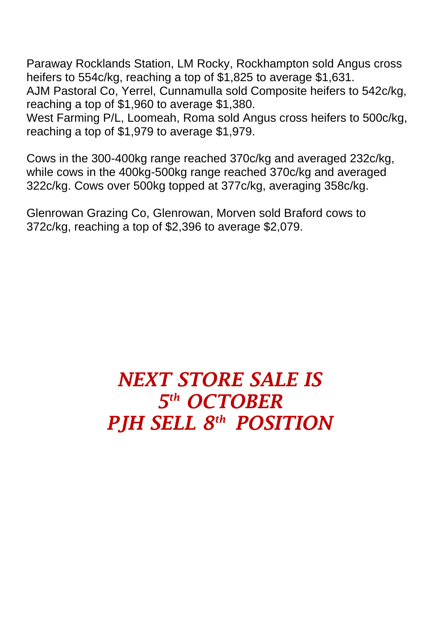Paraway Rocklands Station, LM Rocky, Rockhampton sold Angus cross heifers to 554c/kg, reaching a top of \$1,825 to average \$1,631.

AJM Pastoral Co, Yerrel, Cunnamulla sold Composite heifers to 542c/kg, reaching a top of \$1,960 to average \$1,380.

West Farming P/L, Loomeah, Roma sold Angus cross heifers to 500c/kg, reaching a top of \$1,979 to average \$1,979.

Cows in the 300-400kg range reached 370c/kg and averaged 232c/kg, while cows in the 400kg-500kg range reached 370c/kg and averaged 322c/kg. Cows over 500kg topped at 377c/kg, averaging 358c/kg.

Glenrowan Grazing Co, Glenrowan, Morven sold Braford cows to 372c/kg, reaching a top of \$2,396 to average \$2,079.

## *NEXT STORE SALE IS 5 th OCTOBER PJH SELL 8 th POSITION*